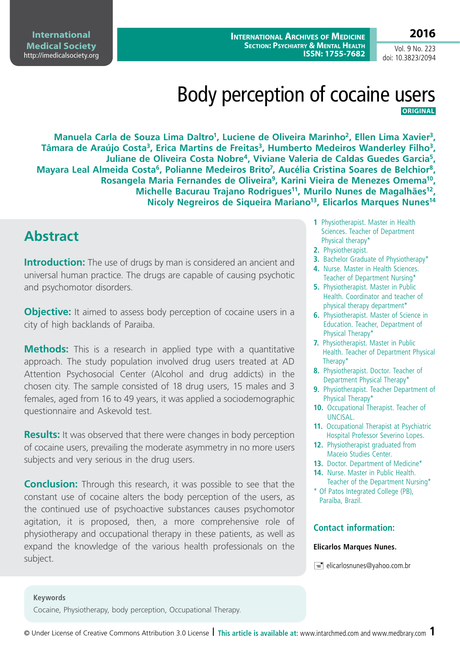**International Archives of Medicine Section: Psychiatry & Mental Health ISSN: 1755-7682**

**International Medical Society**  http://imedicalsociety.org

Vol. 9 No. 223 doi: 10.3823/2094

**2016**

# Body perception of cocaine users **ORIGINAL**

Manuela Carla de Souza Lima Daltro<sup>1</sup>, Luciene de Oliveira Marinho<sup>2</sup>, Ellen Lima Xavier<sup>3</sup>, Tâmara de Araújo Costa<sup>3</sup>, Erica Martins de Freitas<sup>3</sup>, Humberto Medeiros Wanderley Filho<sup>3</sup>, **Juliane de Oliveira Costa Nobre4, Viviane Valeria de Caldas Guedes Garcia5,**  Mayara Leal Almeida Costa<sup>6</sup>, Polianne Medeiros Brito<sup>7</sup>, Aucélia Cristina Soares de Belchior<sup>8</sup>, **Rosangela Maria Fernandes de Oliveira9, Karini Vieira de Menezes Omema10,**  Michelle Bacurau Trajano Rodrigues<sup>11</sup>, Murilo Nunes de Magalhães<sup>12</sup>, **Nicoly Negreiros de Siqueira Mariano13, Elicarlos Marques Nunes14**

## **Abstract**

**Introduction:** The use of drugs by man is considered an ancient and universal human practice. The drugs are capable of causing psychotic and psychomotor disorders.

**Objective:** It aimed to assess body perception of cocaine users in a city of high backlands of Paraiba.

**Methods:** This is a research in applied type with a quantitative approach. The study population involved drug users treated at AD Attention Psychosocial Center (Alcohol and drug addicts) in the chosen city. The sample consisted of 18 drug users, 15 males and 3 females, aged from 16 to 49 years, it was applied a sociodemographic questionnaire and Askevold test.

**Results:** It was observed that there were changes in body perception of cocaine users, prevailing the moderate asymmetry in no more users subjects and very serious in the drug users.

**Conclusion:** Through this research, it was possible to see that the constant use of cocaine alters the body perception of the users, as the continued use of psychoactive substances causes psychomotor agitation, it is proposed, then, a more comprehensive role of physiotherapy and occupational therapy in these patients, as well as expand the knowledge of the various health professionals on the subject.

- **1** Physiotherapist. Master in Health Sciences. Teacher of Department Physical therapy\*
- **2.** Physiotherapist.
- **3.** Bachelor Graduate of Physiotherapy\*
- **4.** Nurse. Master in Health Sciences. Teacher of Department Nursing\*
- **5.** Physiotherapist. Master in Public Health. Coordinator and teacher of physical therapy department\*
- **6.** Physiotherapist. Master of Science in Education. Teacher, Department of Physical Therapy\*
- **7.** Physiotherapist. Master in Public Health. Teacher of Department Physical Therapy\*
- **8.** Physiotherapist. Doctor. Teacher of Department Physical Therapy\*
- **9.** Physiotherapist. Teacher Department of Physical Therapy\*
- **10.** Occupational Therapist. Teacher of UNCISAL.
- **11.** Occupational Therapist at Psychiatric Hospital Professor Severino Lopes.
- **12.** Physiotherapist graduated from Maceio Studies Center.
- 13. Doctor. Department of Medicine\*
- **14.** Nurse. Master in Public Health. Teacher of the Department Nursing\*
- \* Of Patos Integrated College (PB), Paraíba, Brazil.

### **Contact information:**

#### **Elicarlos Marques Nunes.**

 $\equiv$  elicarlosnunes@yahoo.com.br

#### **Keywords**

Cocaine, Physiotherapy, body perception, Occupational Therapy.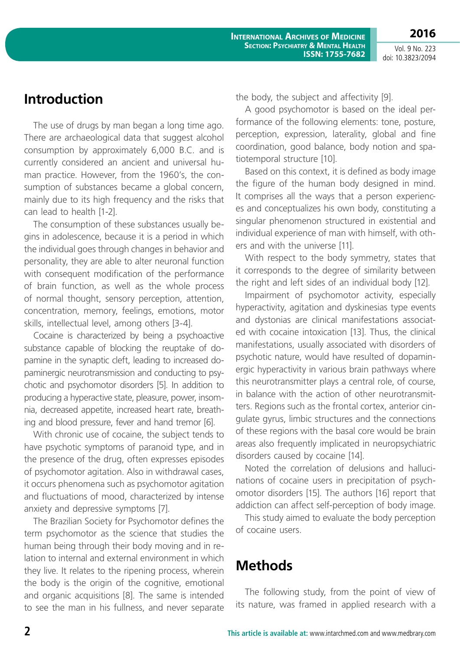Vol. 9 No. 223 doi: 10.3823/2094

**2016**

## **Introduction**

The use of drugs by man began a long time ago. There are archaeological data that suggest alcohol consumption by approximately 6,000 B.C. and is currently considered an ancient and universal human practice. However, from the 1960's, the consumption of substances became a global concern, mainly due to its high frequency and the risks that can lead to health [1-2].

The consumption of these substances usually begins in adolescence, because it is a period in which the individual goes through changes in behavior and personality, they are able to alter neuronal function with consequent modification of the performance of brain function, as well as the whole process of normal thought, sensory perception, attention, concentration, memory, feelings, emotions, motor skills, intellectual level, among others [3-4].

Cocaine is characterized by being a psychoactive substance capable of blocking the reuptake of dopamine in the synaptic cleft, leading to increased dopaminergic neurotransmission and conducting to psychotic and psychomotor disorders [5]. In addition to producing a hyperactive state, pleasure, power, insomnia, decreased appetite, increased heart rate, breathing and blood pressure, fever and hand tremor [6].

With chronic use of cocaine, the subject tends to have psychotic symptoms of paranoid type, and in the presence of the drug, often expresses episodes of psychomotor agitation. Also in withdrawal cases, it occurs phenomena such as psychomotor agitation and fluctuations of mood, characterized by intense anxiety and depressive symptoms [7].

The Brazilian Society for Psychomotor defines the term psychomotor as the science that studies the human being through their body moving and in relation to internal and external environment in which they live. It relates to the ripening process, wherein the body is the origin of the cognitive, emotional and organic acquisitions [8]. The same is intended to see the man in his fullness, and never separate the body, the subject and affectivity [9].

A good psychomotor is based on the ideal performance of the following elements: tone, posture, perception, expression, laterality, global and fine coordination, good balance, body notion and spatiotemporal structure [10].

Based on this context, it is defined as body image the figure of the human body designed in mind. It comprises all the ways that a person experiences and conceptualizes his own body, constituting a singular phenomenon structured in existential and individual experience of man with himself, with others and with the universe [11].

With respect to the body symmetry, states that it corresponds to the degree of similarity between the right and left sides of an individual body [12].

Impairment of psychomotor activity, especially hyperactivity, agitation and dyskinesias type events and dystonias are clinical manifestations associated with cocaine intoxication [13]. Thus, the clinical manifestations, usually associated with disorders of psychotic nature, would have resulted of dopaminergic hyperactivity in various brain pathways where this neurotransmitter plays a central role, of course, in balance with the action of other neurotransmitters. Regions such as the frontal cortex, anterior cingulate gyrus, limbic structures and the connections of these regions with the basal core would be brain areas also frequently implicated in neuropsychiatric disorders caused by cocaine [14].

Noted the correlation of delusions and hallucinations of cocaine users in precipitation of psychomotor disorders [15]. The authors [16] report that addiction can affect self-perception of body image.

This study aimed to evaluate the body perception of cocaine users.

# **Methods**

The following study, from the point of view of its nature, was framed in applied research with a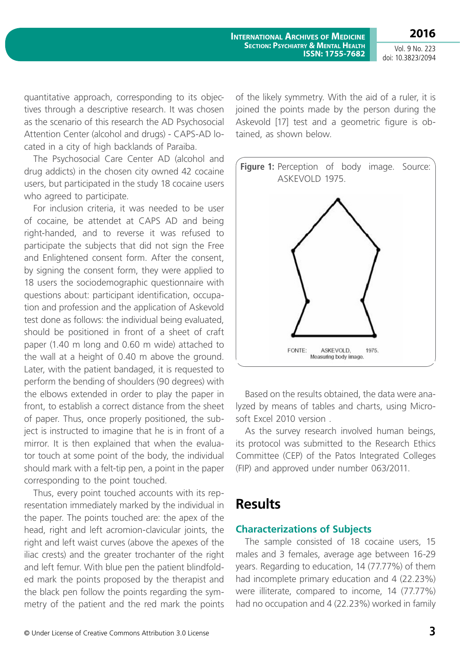**2016**

Vol. 9 No. 223 doi: 10.3823/2094

quantitative approach, corresponding to its objectives through a descriptive research. It was chosen as the scenario of this research the AD Psychosocial Attention Center (alcohol and drugs) - CAPS-AD located in a city of high backlands of Paraiba.

The Psychosocial Care Center AD (alcohol and drug addicts) in the chosen city owned 42 cocaine users, but participated in the study 18 cocaine users who agreed to participate.

For inclusion criteria, it was needed to be user of cocaine, be attendet at CAPS AD and being right-handed, and to reverse it was refused to participate the subjects that did not sign the Free and Enlightened consent form. After the consent, by signing the consent form, they were applied to 18 users the sociodemographic questionnaire with questions about: participant identification, occupation and profession and the application of Askevold test done as follows: the individual being evaluated, should be positioned in front of a sheet of craft paper (1.40 m long and 0.60 m wide) attached to the wall at a height of 0.40 m above the ground. Later, with the patient bandaged, it is requested to perform the bending of shoulders (90 degrees) with the elbows extended in order to play the paper in front, to establish a correct distance from the sheet of paper. Thus, once properly positioned, the subject is instructed to imagine that he is in front of a mirror. It is then explained that when the evaluator touch at some point of the body, the individual should mark with a felt-tip pen, a point in the paper corresponding to the point touched.

Thus, every point touched accounts with its representation immediately marked by the individual in the paper. The points touched are: the apex of the head, right and left acromion-clavicular joints, the right and left waist curves (above the apexes of the iliac crests) and the greater trochanter of the right and left femur. With blue pen the patient blindfolded mark the points proposed by the therapist and the black pen follow the points regarding the symmetry of the patient and the red mark the points of the likely symmetry. With the aid of a ruler, it is joined the points made by the person during the Askevold [17] test and a geometric figure is obtained, as shown below.



Based on the results obtained, the data were analyzed by means of tables and charts, using Microsoft Excel 2010 version .

As the survey research involved human beings, its protocol was submitted to the Research Ethics Committee (CEP) of the Patos Integrated Colleges (FIP) and approved under number 063/2011.

### **Results**

### **Characterizations of Subjects**

The sample consisted of 18 cocaine users, 15 males and 3 females, average age between 16-29 years. Regarding to education, 14 (77.77%) of them had incomplete primary education and 4 (22.23%) were illiterate, compared to income, 14 (77.77%) had no occupation and 4 (22.23%) worked in family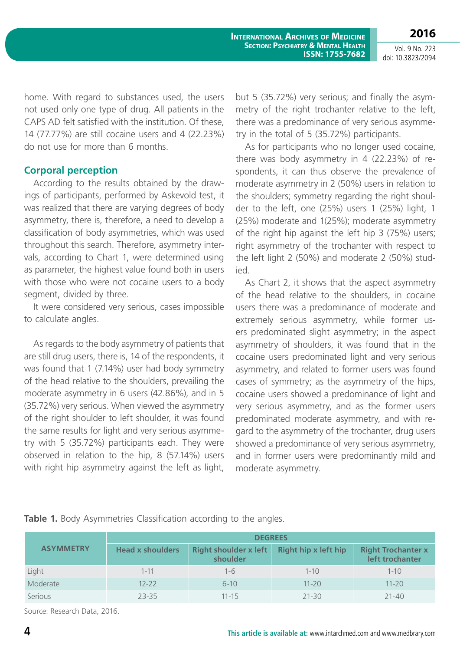**International Archives of Medicine Section: Psychiatry & Mental Health ISSN: 1755-7682**

Vol. 9 No. 223 doi: 10.3823/2094

**2016**

home. With regard to substances used, the users not used only one type of drug. All patients in the CAPS AD felt satisfied with the institution. Of these, 14 (77.77%) are still cocaine users and 4 (22.23%) do not use for more than 6 months.

#### **Corporal perception**

According to the results obtained by the drawings of participants, performed by Askevold test, it was realized that there are varying degrees of body asymmetry, there is, therefore, a need to develop a classification of body asymmetries, which was used throughout this search. Therefore, asymmetry intervals, according to Chart 1, were determined using as parameter, the highest value found both in users with those who were not cocaine users to a body segment, divided by three.

It were considered very serious, cases impossible to calculate angles.

As regards to the body asymmetry of patients that are still drug users, there is, 14 of the respondents, it was found that 1 (7.14%) user had body symmetry of the head relative to the shoulders, prevailing the moderate asymmetry in 6 users (42.86%), and in 5 (35.72%) very serious. When viewed the asymmetry of the right shoulder to left shoulder, it was found the same results for light and very serious asymmetry with 5 (35.72%) participants each. They were observed in relation to the hip, 8 (57.14%) users with right hip asymmetry against the left as light,

but 5 (35.72%) very serious; and finally the asymmetry of the right trochanter relative to the left, there was a predominance of very serious asymmetry in the total of 5 (35.72%) participants.

As for participants who no longer used cocaine, there was body asymmetry in 4 (22.23%) of respondents, it can thus observe the prevalence of moderate asymmetry in 2 (50%) users in relation to the shoulders; symmetry regarding the right shoulder to the left, one (25%) users 1 (25%) light, 1 (25%) moderate and 1(25%); moderate asymmetry of the right hip against the left hip 3 (75%) users; right asymmetry of the trochanter with respect to the left light 2 (50%) and moderate 2 (50%) studied.

As Chart 2, it shows that the aspect asymmetry of the head relative to the shoulders, in cocaine users there was a predominance of moderate and extremely serious asymmetry, while former users predominated slight asymmetry; in the aspect asymmetry of shoulders, it was found that in the cocaine users predominated light and very serious asymmetry, and related to former users was found cases of symmetry; as the asymmetry of the hips, cocaine users showed a predominance of light and very serious asymmetry, and as the former users predominated moderate asymmetry, and with regard to the asymmetry of the trochanter, drug users showed a predominance of very serious asymmetry, and in former users were predominantly mild and moderate asymmetry.

|                  | <b>DEGREES</b>          |                                          |                             |                                              |  |  |  |
|------------------|-------------------------|------------------------------------------|-----------------------------|----------------------------------------------|--|--|--|
| <b>ASYMMETRY</b> | <b>Head x shoulders</b> | <b>Right shoulder x left</b><br>shoulder | <b>Right hip x left hip</b> | <b>Right Trochanter x</b><br>left trochanter |  |  |  |
| Light            | $1 - 11$                | $1 - 6$                                  | $1 - 10$                    | $1 - 10$                                     |  |  |  |
| Moderate         | $12 - 22$               | $6 - 10$                                 | $11 - 20$                   | $11 - 20$                                    |  |  |  |
| Serious          | $23 - 35$               | $11 - 15$                                | $21 - 30$                   | $21 - 40$                                    |  |  |  |

**Table 1.** Body Asymmetries Classification according to the angles.

Source: Research Data, 2016.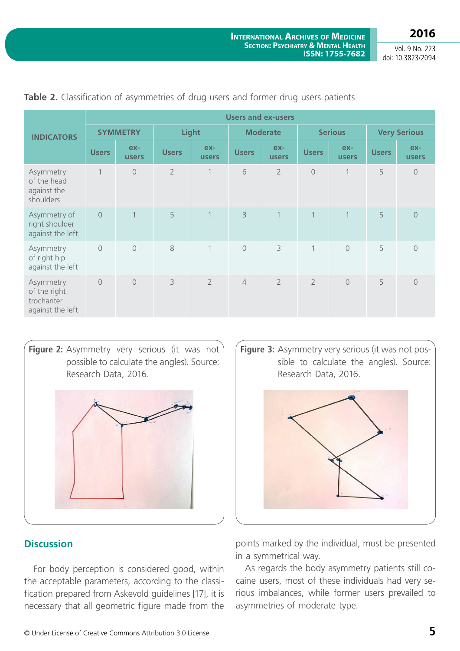**2016**

Vol. 9 No. 223 doi: 10.3823/2094

|                                                             | <b>Users and ex-users</b> |                |                |                     |                 |                |                |                       |                     |                |
|-------------------------------------------------------------|---------------------------|----------------|----------------|---------------------|-----------------|----------------|----------------|-----------------------|---------------------|----------------|
| <b>INDICATORS</b>                                           | <b>SYMMETRY</b>           |                | Light          |                     | <b>Moderate</b> |                | <b>Serious</b> |                       | <b>Very Serious</b> |                |
|                                                             | <b>Users</b>              | ex-<br>users   | <b>Users</b>   | ex-<br><b>users</b> | <b>Users</b>    | ex-<br>users   | <b>Users</b>   | $ex-$<br><b>users</b> | <b>Users</b>        | ex-<br>users   |
| Asymmetry<br>of the head<br>against the<br>shoulders        | $\mathbf{1}$              | $\bigcirc$     | $\overline{2}$ | 1                   | 6               | $\overline{2}$ | $\bigcirc$     | $\mathbf 1$           | 5                   | $\sqrt{a}$     |
| Asymmetry of<br>right shoulder<br>against the left          | $\overline{O}$            | $\overline{1}$ | 5              | $\mathbf{1}$        | $\overline{3}$  | 1              | $\mathbf{1}$   | $\mathbf{1}$          | 5                   | $\overline{0}$ |
| Asymmetry<br>of right hip<br>against the left               | $\circ$                   | $\overline{0}$ | 8              | $\mathbf{1}$        | $\circledcirc$  | 3              | $\mathbf{1}$   | $\circ$               | 5                   | $\overline{0}$ |
| Asymmetry<br>of the right<br>trochanter<br>against the left | $\bigcirc$                | $\circ$        | 3              | $\overline{2}$      | $\overline{4}$  | $\overline{2}$ | $\overline{2}$ | $\circ$               | 5                   | $\circ$        |

**Table 2.** Classification of asymmetries of drug users and former drug users patients

**Figure 2:** Asymmetry very serious (it was not possible to calculate the angles). Source: Research Data, 2016.



### **Discussion**

For body perception is considered good, within the acceptable parameters, according to the classification prepared from Askevold guidelines [17], it is necessary that all geometric figure made from the

**Figure 3:** Asymmetry very serious (it was not possible to calculate the angles). Source: Research Data, 2016.



points marked by the individual, must be presented in a symmetrical way.

As regards the body asymmetry patients still cocaine users, most of these individuals had very serious imbalances, while former users prevailed to asymmetries of moderate type.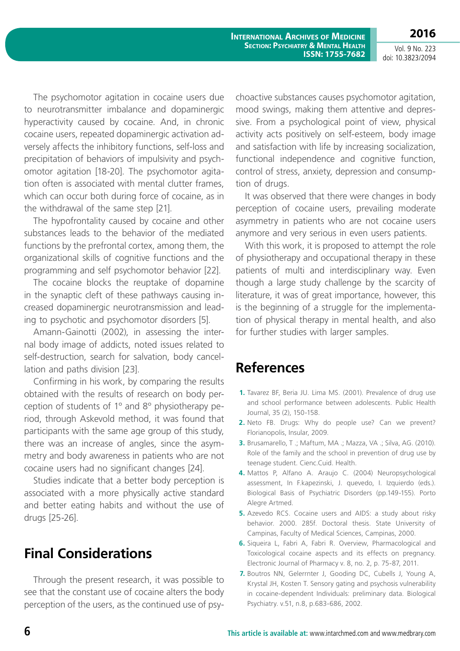Vol. 9 No. 223 doi: 10.3823/2094

**2016**

The psychomotor agitation in cocaine users due to neurotransmitter imbalance and dopaminergic hyperactivity caused by cocaine. And, in chronic cocaine users, repeated dopaminergic activation adversely affects the inhibitory functions, self-loss and precipitation of behaviors of impulsivity and psychomotor agitation [18-20]. The psychomotor agitation often is associated with mental clutter frames, which can occur both during force of cocaine, as in the withdrawal of the same step [21].

The hypofrontality caused by cocaine and other substances leads to the behavior of the mediated functions by the prefrontal cortex, among them, the organizational skills of cognitive functions and the programming and self psychomotor behavior [22].

The cocaine blocks the reuptake of dopamine in the synaptic cleft of these pathways causing increased dopaminergic neurotransmission and leading to psychotic and psychomotor disorders [5].

Amann-Gainotti (2002), in assessing the internal body image of addicts, noted issues related to self-destruction, search for salvation, body cancellation and paths division [23].

Confirming in his work, by comparing the results obtained with the results of research on body perception of students of 1º and 8º physiotherapy period, through Askevold method, it was found that participants with the same age group of this study, there was an increase of angles, since the asymmetry and body awareness in patients who are not cocaine users had no significant changes [24].

Studies indicate that a better body perception is associated with a more physically active standard and better eating habits and without the use of drugs [25-26].

# **Final Considerations**

Through the present research, it was possible to see that the constant use of cocaine alters the body perception of the users, as the continued use of psychoactive substances causes psychomotor agitation, mood swings, making them attentive and depressive. From a psychological point of view, physical activity acts positively on self-esteem, body image and satisfaction with life by increasing socialization, functional independence and cognitive function, control of stress, anxiety, depression and consumption of drugs.

It was observed that there were changes in body perception of cocaine users, prevailing moderate asymmetry in patients who are not cocaine users anymore and very serious in even users patients.

With this work, it is proposed to attempt the role of physiotherapy and occupational therapy in these patients of multi and interdisciplinary way. Even though a large study challenge by the scarcity of literature, it was of great importance, however, this is the beginning of a struggle for the implementation of physical therapy in mental health, and also for further studies with larger samples.

## **References**

- **1.** Tavarez BF, Beria JU. Lima MS. (2001). Prevalence of drug use and school performance between adolescents. Public Health Journal, 35 (2), 150-158.
- **2.** Neto FB. Drugs: Why do people use? Can we prevent? Florianopolis, Insular, 2009.
- **3.** Brusamarello, T .; Maftum, MA .; Mazza, VA .; Silva, AG. (2010). Role of the family and the school in prevention of drug use by teenage student. Cienc.Cuid. Health.
- **4.** Mattos P, Alfano A. Araujo C. (2004) Neuropsychological assessment, In F.kapezinski, J. quevedo, I. Izquierdo (eds.). Biological Basis of Psychiatric Disorders (pp.149-155). Porto Alegre Artmed.
- **5.** Azevedo RCS. Cocaine users and AIDS: a study about risky behavior. 2000. 285f. Doctoral thesis. State University of Campinas, Faculty of Medical Sciences, Campinas, 2000.
- **6.** Siqueira L, Fabri A, Fabri R. Overview, Pharmacological and Toxicological cocaine aspects and its effects on pregnancy. Electronic Journal of Pharmacy v. 8, no. 2, p. 75-87, 2011.
- **7.** Boutros NN, Gelerrnter J, Gooding DC, Cubells J, Young A, Krystal JH, Kosten T. Sensory gating and psychosis vulnerability in cocaine-dependent Individuals: preliminary data. Biological Psychiatry. v.51, n.8, p.683-686, 2002.